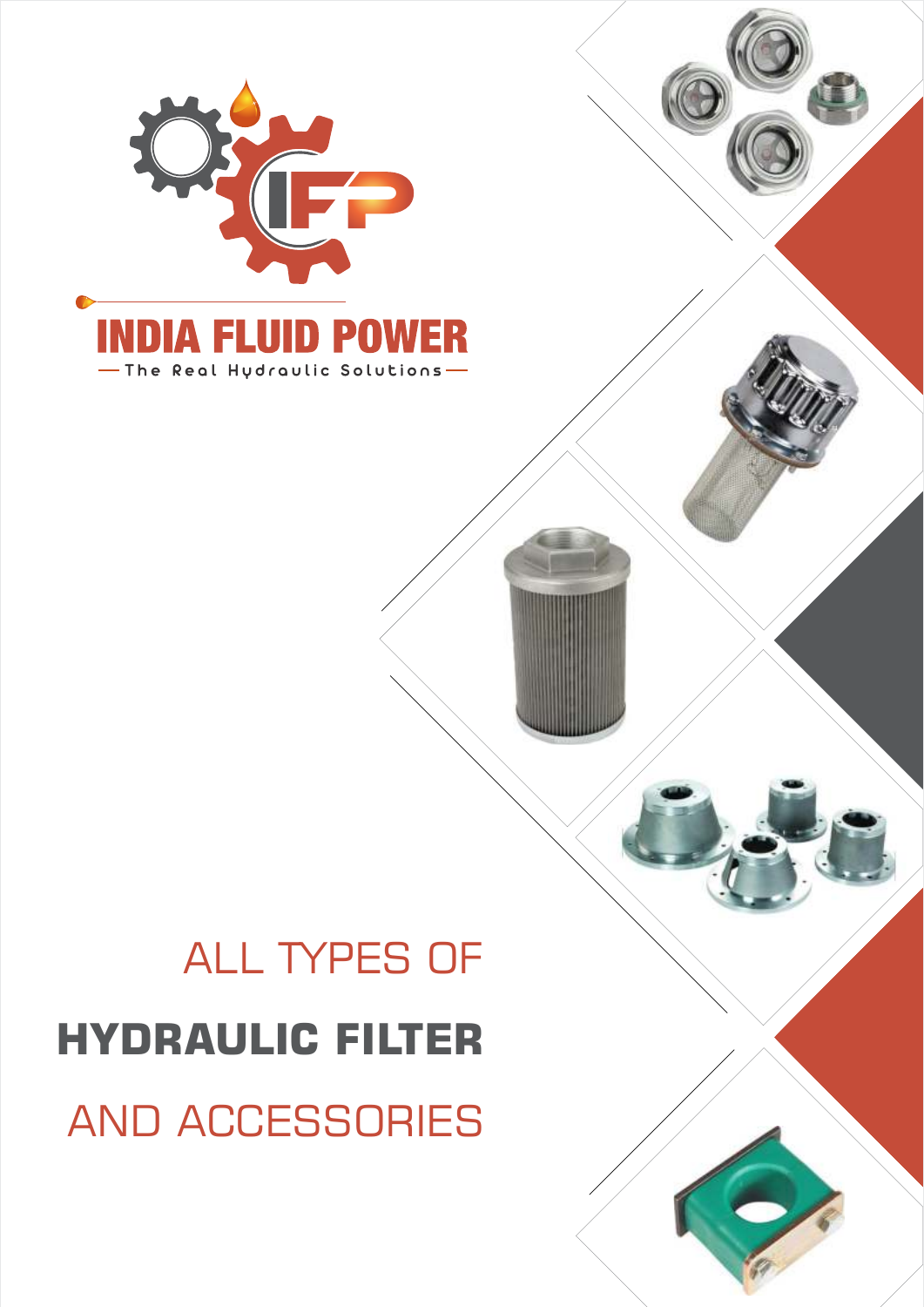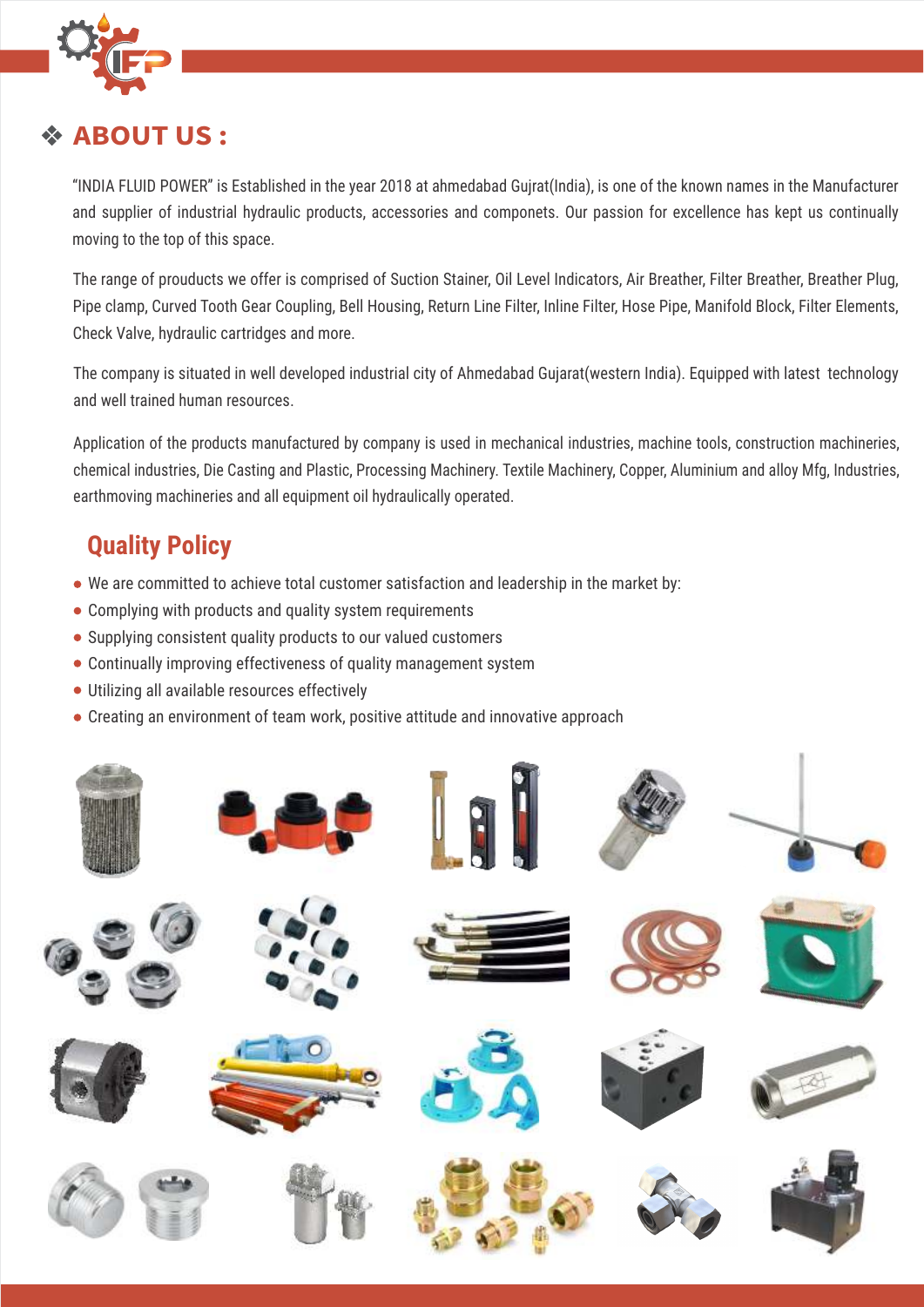

#### **ABOUT US :**

"INDIA FLUID POWER" is Established in the year 2018 at ahmedabad Gujrat(India), is one of the known names in the Manufacturer and supplier of industrial hydraulic products, accessories and componets. Our passion for excellence has kept us continually moving to the top of this space.

The range of prouducts we offer is comprised of Suction Stainer, Oil Level Indicators, Air Breather, Filter Breather, Breather Plug, Pipe clamp, Curved Tooth Gear Coupling, Bell Housing, Return Line Filter, Inline Filter, Hose Pipe, Manifold Block, Filter Elements, Check Valve, hydraulic cartridges and more.

The company is situated in well developed industrial city of Ahmedabad Gujarat(western India). Equipped with latest technology and well trained human resources.

Application of the products manufactured by company is used in mechanical industries, machine tools, construction machineries, chemical industries, Die Casting and Plastic, Processing Machinery. Textile Machinery, Copper, Aluminium and alloy Mfg, Industries, earthmoving machineries and all equipment oil hydraulically operated.

## **Quality Policy**

- We are committed to achieve total customer satisfaction and leadership in the market by:
- Complying with products and quality system requirements
- Supplying consistent quality products to our valued customers
- Continually improving effectiveness of quality management system
- Utilizing all available resources effectively
- Creating an environment of team work, positive attitude and innovative approach

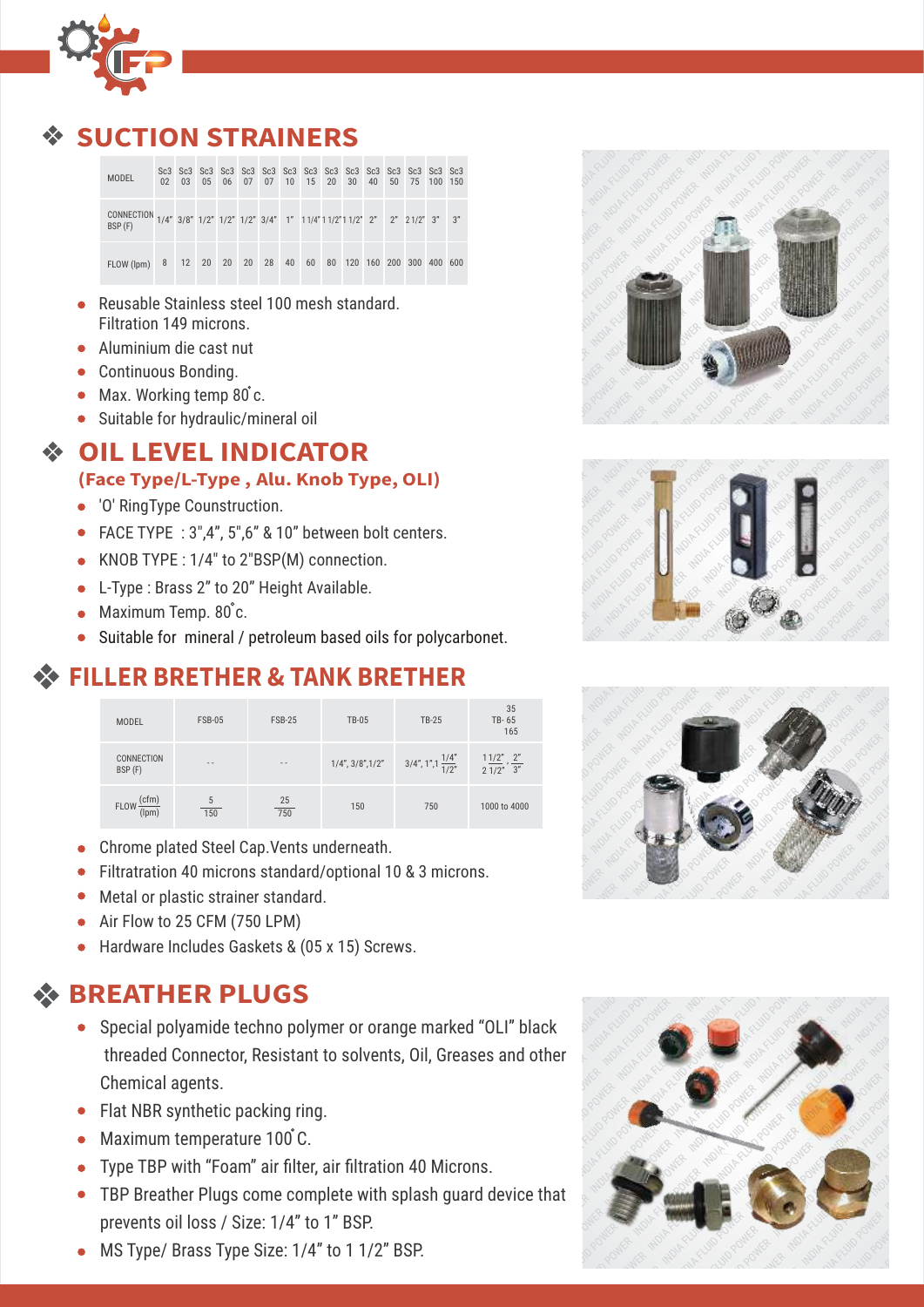

## **UCTION STRAINERS**

| MODEL                                                                                      |  |  |  |  |  |  | 02  03  05  06  07  07  10  15  20  30  40  50  75  100  150 |  |
|--------------------------------------------------------------------------------------------|--|--|--|--|--|--|--------------------------------------------------------------|--|
| CONNECTION 1/4" 3/8" 1/2" 1/2" 1/2" 3/4" 1" 11/4" 11/2" 11/2" 2" 2" 21/2" 3" 3"<br>BSP (F) |  |  |  |  |  |  |                                                              |  |
| FLOW (lpm) 8 12 20 20 20 28 40 60 80 120 160 200 300 400 600                               |  |  |  |  |  |  |                                                              |  |

- Reusable Stainless steel 100 mesh standard. Filtration 149 microns.
- Aluminium die cast nut
- Continuous Bonding.
- $\bullet$  Max. Working temp 80° c.
- Suitable for hydraulic/mineral oil

#### **OIL LEVEL INDICATOR**

#### **(Face Type/L-Type , Alu. Knob Type, OLI)**

- 'O' RingType Counstruction.
- FACE TYPE : 3",4", 5",6" & 10" between bolt centers.
- KNOB TYPE : 1/4" to 2"BSP(M) connection.
- L-Type : Brass 2" to 20" Height Available.
- $\bullet$  Maximum Temp.  $80^{\circ}$ c.
- Suitable for mineral / petroleum based oils for polycarbonet.

## **FILLER BRETHER & TANK BRETHER**

| <b>MODEL</b>                                  | <b>FSB-05</b> | <b>FSB-25</b>    | <b>TB-05</b>              | <b>TB-25</b>                                                             | 35<br>TB-65<br>165 |
|-----------------------------------------------|---------------|------------------|---------------------------|--------------------------------------------------------------------------|--------------------|
| CONNECTION<br>BSP (F)                         | $\sim$ $\sim$ | $\frac{1}{2}$    | $1/4$ ", $3/8$ ", $1/2$ " | $3/4$ ", $1$ ", $1\frac{1/4}{1/2}$ " $1\frac{1/2}{2}$ ", $\frac{2}{3}$ " |                    |
| (cfm)<br>FLOW $\frac{\text{C}}{\text{(lpm)}}$ | 150           | $\frac{25}{750}$ | 150                       | 750                                                                      | 1000 to 4000       |

- Chrome plated Steel Cap.Vents underneath.  $\bullet$
- Filtratration 40 microns standard/optional 10 & 3 microns.
- Metal or plastic strainer standard.
- Air Flow to 25 CFM (750 LPM)
- Hardware Includes Gaskets & (05 x 15) Screws.

## **BREATHER PLUGS**

- threaded Connector, Resistant to solvents, Oil, Greases and other<br>Chemical agents.<br>Flat NBR synthetic packing ring. Special polyamide techno polymer or orange marked "OLI" black Chemical agents.
- Flat NBR synthetic packing ring.
- Maximum temperature 100°C.
- Type TBP with "Foam" air filter, air filtration 40 Microns.
- $\text{I}$  and  $\text{I}$ **• TBP Breather Plugs come complete with splash guard device that** prevents oil loss / Size: 1/4" to 1" BSP.
- MS Type/ Brass Type Size: 1/4" to 1 1/2" BSP.







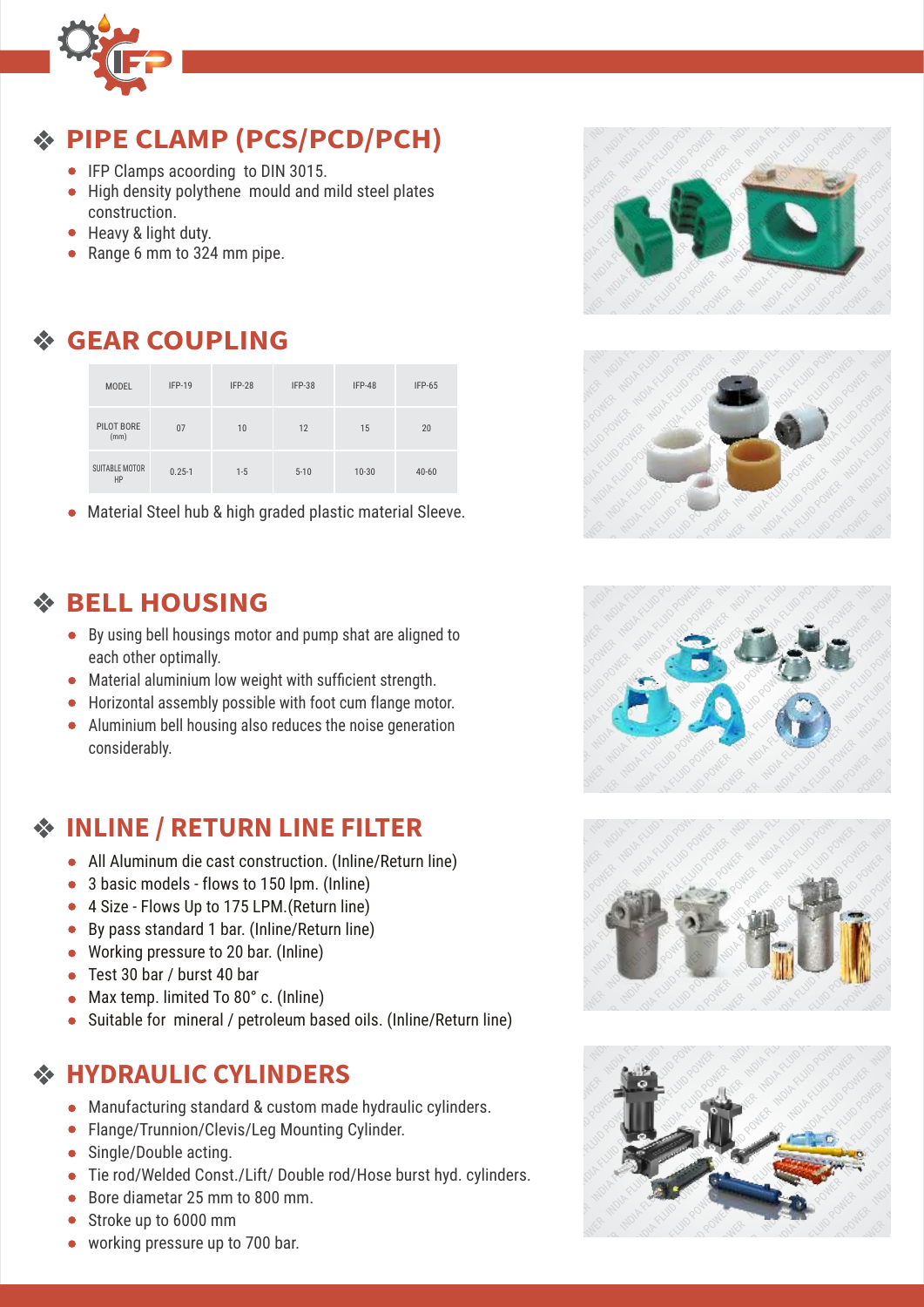

## **PIPE CLAMP (PCS/PCD/PCH)**

- IFP Clamps acoording to DIN 3015.
- High density polythene mould and mild steel plates construction.
- Heavy & light duty.
- Range 6 mm to 324 mm pipe.

## **GEAR COUPLING**

| <b>MODEL</b>                | $IFP-19$   | IFP-28  | IFP-38   | $IFP-48$  | $IFP-65$  |
|-----------------------------|------------|---------|----------|-----------|-----------|
| PILOT BORE<br>(mm)          | 07         | 10      | 12       | 15        | 20        |
| <b>SUITABLE MOTOR</b><br>HP | $0.25 - 1$ | $1 - 5$ | $5 - 10$ | $10 - 30$ | $40 - 60$ |

Material Steel hub & high graded plastic material Sleeve.

#### **BELL HOUSING**

- By using bell housings motor and pump shat are aligned to each other optimally.
- Material aluminium low weight with sufficient strength.
- Horizontal assembly possible with foot cum flange motor.
- Aluminium bell housing also reduces the noise generation considerably.

#### **INLINE / RETURN LINE FILTER**

- All Aluminum die cast construction. (Inline/Return line)
- 3 basic models flows to 150 lpm. (Inline)
- 4 Size Flows Up to 175 LPM. (Return line)
- By pass standard 1 bar. (Inline/Return line)
- Working pressure to 20 bar. (Inline)
- Test 30 bar / burst 40 bar
- Max temp. limited To 80° c. (Inline)
- Suitable for mineral / petroleum based oils. (Inline/Return line)

#### **HYDRAULIC CYLINDERS**

- Manufacturing standard & custom made hydraulic cylinders.
- Flange/Trunnion/Clevis/Leg Mounting Cylinder.
- Single/Double acting.
- Tie rod/Welded Const./Lift/ Double rod/Hose burst hyd. cylinders.
- Bore diametar 25 mm to 800 mm.
- Stroke up to 6000 mm
- working pressure up to 700 bar.









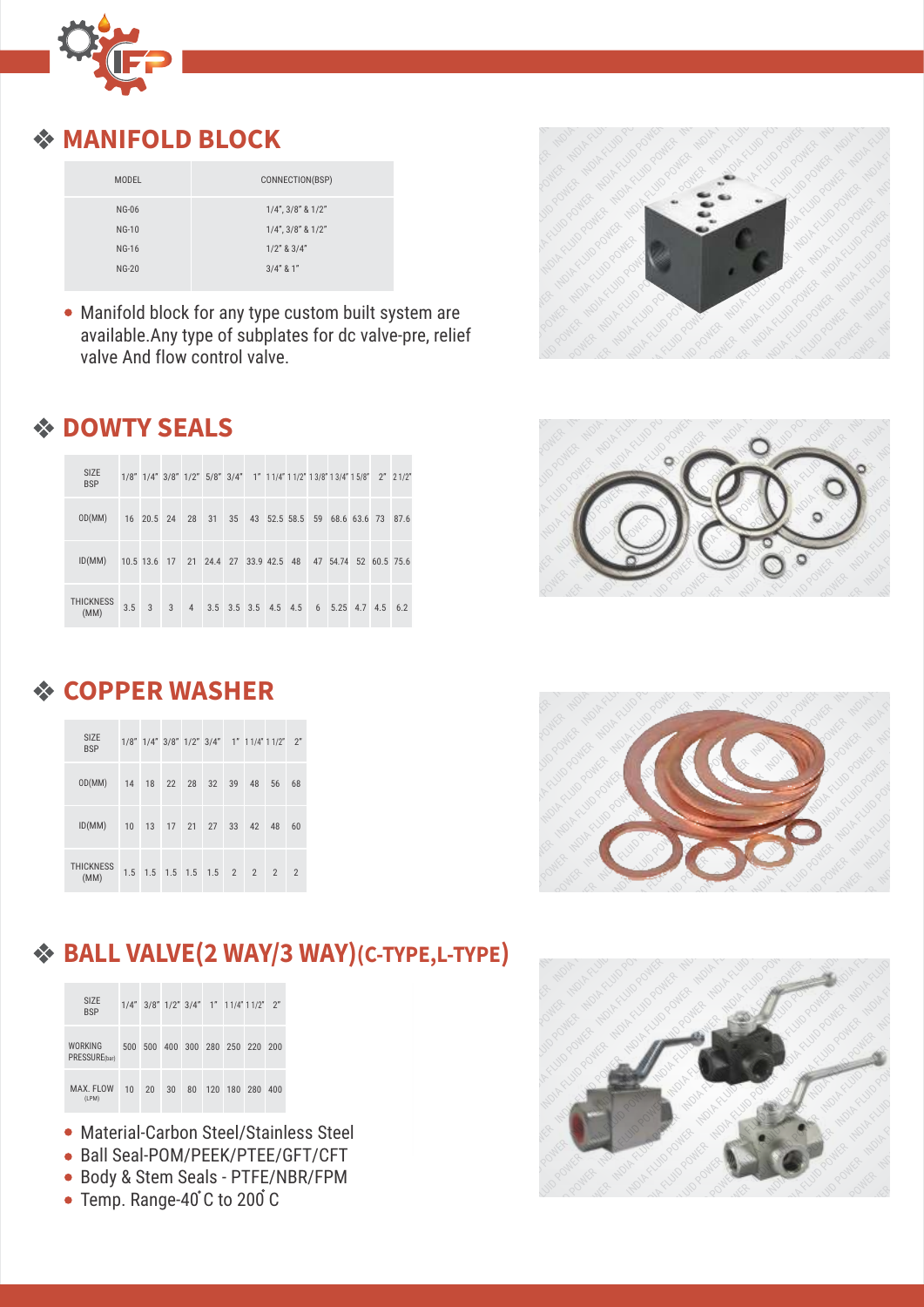

#### **MANIFOLD BLOCK**

| MODEL        | CONNECTION(BSP)            |
|--------------|----------------------------|
| <b>NG-06</b> | $1/4$ ", $3/8$ " & $1/2$ " |
| $NG-10$      | $1/4$ ", $3/8$ " & $1/2$ " |
| <b>NG-16</b> | $1/2$ " & $3/4$ "          |
| $NG-20$      | $3/4"$ & 1"                |
|              |                            |

• Manifold block for any type custom built system are available.Any type of subplates for dc valve-pre, relief valve And flow control valve.



| <b>SIZE</b><br><b>BSP</b> |               |                |  |  | 1/8" 1/4" 3/8" 1/2" 5/8" 3/4" 1" 11/4" 11/2" 13/8" 13/4" 15/8" 2" 21/2" |  |  |  |
|---------------------------|---------------|----------------|--|--|-------------------------------------------------------------------------|--|--|--|
| OD(MM)                    |               |                |  |  | 16 20.5 24 28 31 35 43 52.5 58.5 59 68.6 63.6 73 87.6                   |  |  |  |
| ID(MM)                    |               |                |  |  | 10.5 13.6 17 21 24.4 27 33.9 42.5 48 47 54.74 52 60.5 75.6              |  |  |  |
| <b>THICKNESS</b><br>(MM)  | $3.5 \quad 3$ | $\overline{3}$ |  |  | 4 3.5 3.5 3.5 4.5 4.5 6 5.25 4.7 4.5 6.2                                |  |  |  |

#### **COPPER WASHER**

| <b>SIZE</b><br><b>BSP</b> |  |  |  | $1/8$ " $1/4$ " $3/8$ " $1/2$ " $3/4$ " $1$ " $11/4$ " $11/2$ " $2$ " |    |                |
|---------------------------|--|--|--|-----------------------------------------------------------------------|----|----------------|
| OD(MM)                    |  |  |  | 14 18 22 28 32 39 48                                                  | 56 | 68             |
| ID(MM)                    |  |  |  | 10 13 17 21 27 33 42 48                                               |    | 60             |
| <b>THICKNESS</b><br>(MM)  |  |  |  | $1.5$ $1.5$ $1.5$ $1.5$ $1.5$ $2$ $2$ $2$                             |    | $\overline{2}$ |







## **BALL VALVE(2 WAY/3 WAY)(C-TYPE,L-TYPE)**

| <b>SIZE</b><br><b>BSP</b>       |     |     |                 |    |     | $1/4$ " $3/8$ " $1/2$ " $3/4$ " $1$ " $11/4$ " $11/2$ " $2$ " |     |     |  |
|---------------------------------|-----|-----|-----------------|----|-----|---------------------------------------------------------------|-----|-----|--|
| <b>WORKING</b><br>PRESSURE(bar) | 500 | 500 | 400 300 280 250 |    |     |                                                               | 220 | 200 |  |
| MAX. FLOW<br>(LPM)              | 10  | 20  | 30              | 80 | 120 | 180                                                           | 280 | 400 |  |

- Material-Carbon Steel/Stainless Steel
- Ball Seal-POM/PEEK/PTEE/GFT/CFT
- Body & Stem Seals PTFE/NBR/FPM
- Temp. Range-40°C to 200°C

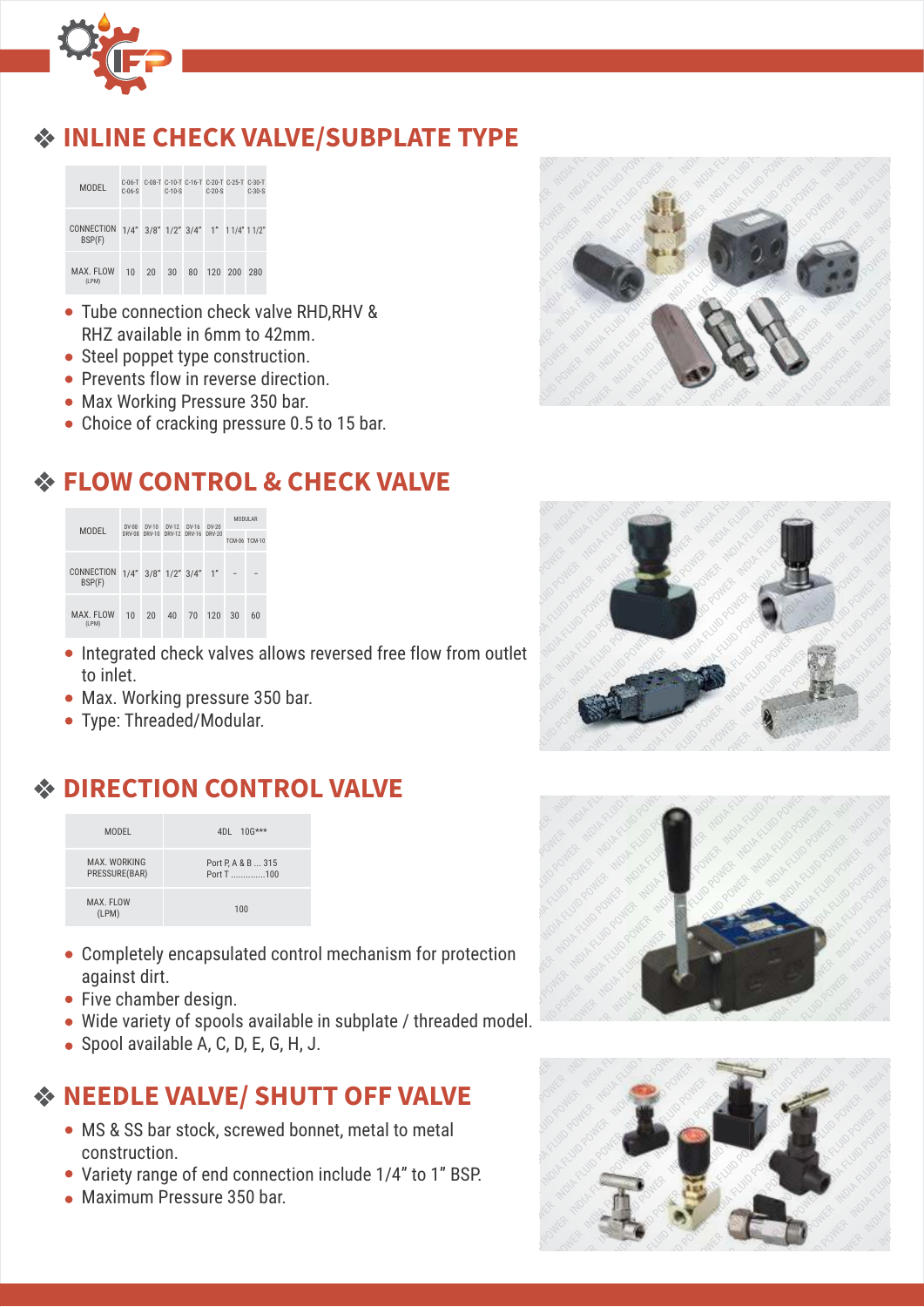

#### **INLINE CHECK VALVE/SUBPLATE TYPE**



- Tube connection check valve RHD, RHV & RHZ available in 6mm to 42mm.
- Steel poppet type construction.
- Prevents flow in reverse direction.
- Max Working Pressure 350 bar.
- Choice of cracking pressure 0.5 to 15 bar.



#### **FLOW CONTROL & CHECK VALVE**

| <b>MODEL</b>         | $DV-08$ | $DV-10$                         | $DY-12$ | $DV-16$ | $DV-20$        | <b>MODULAR</b> |               |
|----------------------|---------|---------------------------------|---------|---------|----------------|----------------|---------------|
|                      | DRV-08  | DRV-10                          | DRV-12  | DRV-16  | DRV-20         |                | TCM-06 TCM-10 |
| CONNECTION<br>BSP(F) |         | $1/4$ " $3/8$ " $1/2$ " $3/4$ " |         |         | 1 <sup>n</sup> |                |               |
| MAX. FLOW<br>(LPM)   | 10      | 20                              | 40      | 70      | 120            | 30             | 60            |

- $\overline{\phantom{a}}$ • Integrated check valves allows reversed free flow from outlet to inlet.
- Max. Working pressure 350 bar.
- Type: Threaded/Modular.

## **DIRECTION CONTROL VALVE**

| <b>MODEL</b>                  | 4DL 10G***                       |
|-------------------------------|----------------------------------|
| MAX. WORKING<br>PRESSURE(BAR) | Port P, A & B  315<br>Port T 100 |
| MAX. FLOW<br>(LPM)            | 100                              |

- Completely encapsulated control mechanism for protection<br>against dirt.<br>Five chamber design. against dirt. Completely encapsulated control mechanism for protection<br>against dirt.<br>Five chamber design.<br>Wide variety of spools available in subplate / threaded model.
- Five chamber design.
- 
- Spool available A, C, D, E, G, H, J.

#### **NEEDLE VALVE/ SHUTT OFF VALVE**

- MS & SS bar stock, screwed bonnet, metal to metal construction.
- Variety range of end connection include 1/4" to 1" BSP.
- Maximum Pressure 350 bar.





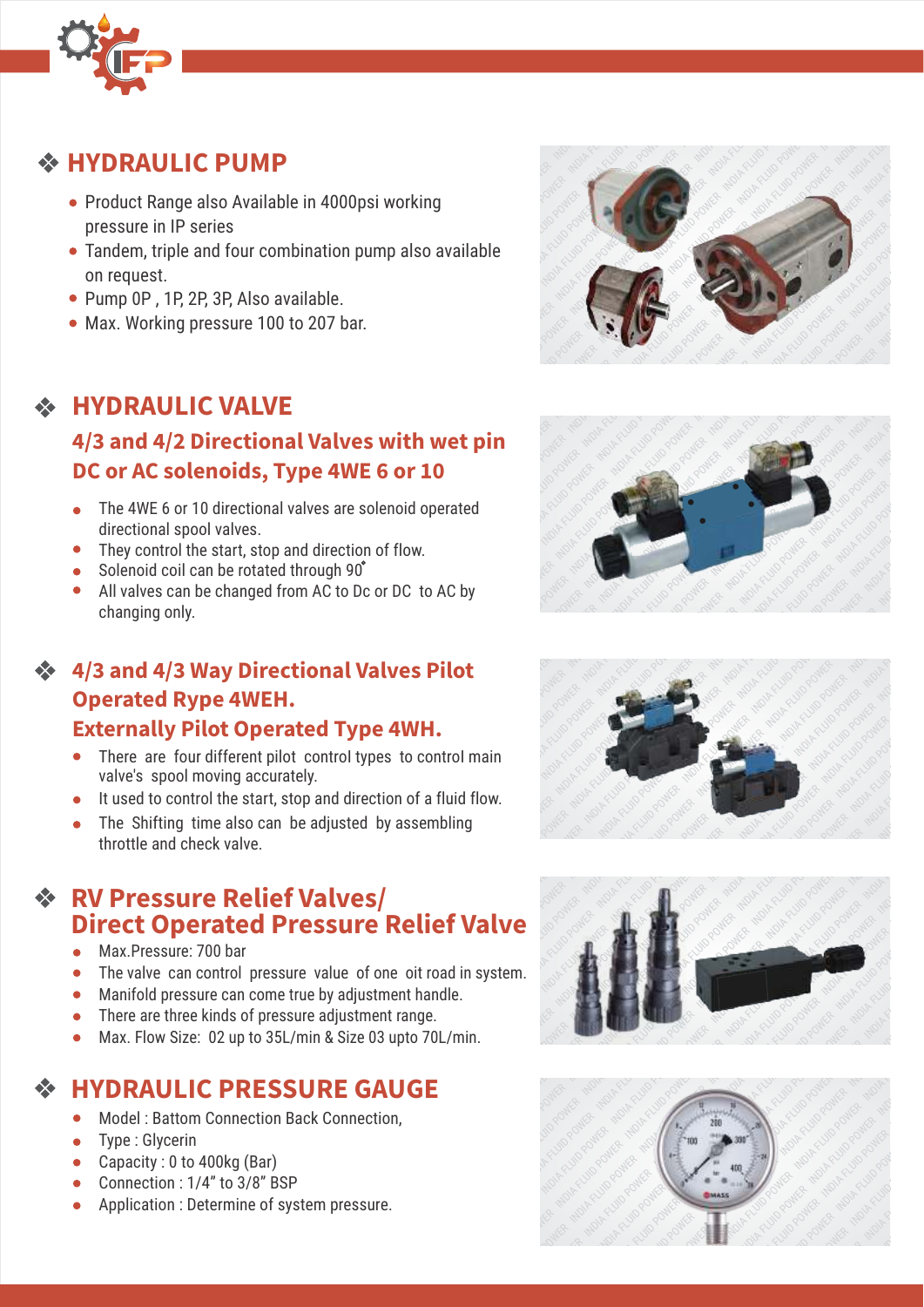

## **HYDRAULIC PUMP**

- Product Range also Available in 4000psi working pressure in IP series
- Tandem, triple and four combination pump also available on request.
- Pump 0P, 1P, 2P, 3P, Also available.
- Max. Working pressure 100 to 207 bar.

## **HYDRAULIC VALVE**

## 4/3 and 4/2 Directional Valves with wet pin<br>DC or AC solenoids, Type 4WE 6 or 10 **DC or AC solenoids, Type 4WE 6 or 10**

- The 4WE 6 or 10 directional valves are solenoid operated directional spool valves.
- They control the start, stop and direction of flow.
- Solenoid coil can be rotated through 90°
- All valves can be changed from AC to Dc or DC to AC by changing only.

#### **4/3 and 4/3 Way Directional Valves Pilot Operated Rype 4WEH. Externally Pilot Operated Type 4WH.**

- There are four different pilot control types to control main valve's spool moving accurately.
- 
- It used to control the start, stop and direction of a fluid flow.<br>The Shifting time also can be adjusted by assembling<br>throttle and check valve. The Shifting time also can be adjusted by assembling throttle and check valve.

# **RV Pressure Relief Valves/ RV Pressure Relief Valves/<br>Direct Operated Pressure Relief Valve**

- Max.Pressure: 700 bar
- The valve can control pressure value of one oit road in system.
- Manifold pressure can come true by adjustment handle.
- There are three kinds of pressure adjustment range.
- Max. Flow Size: 02 up to 35L/min & Size 03 upto 70L/min.

## **HYDRAULIC PRESSURE GAUGE**

- Model : Battom Connection Back Connection,
- Type : Glycerin
- Capacity : 0 to 400kg (Bar)
- Connection : 1/4" to 3/8" BSP
- Application : Determine of system pressure.